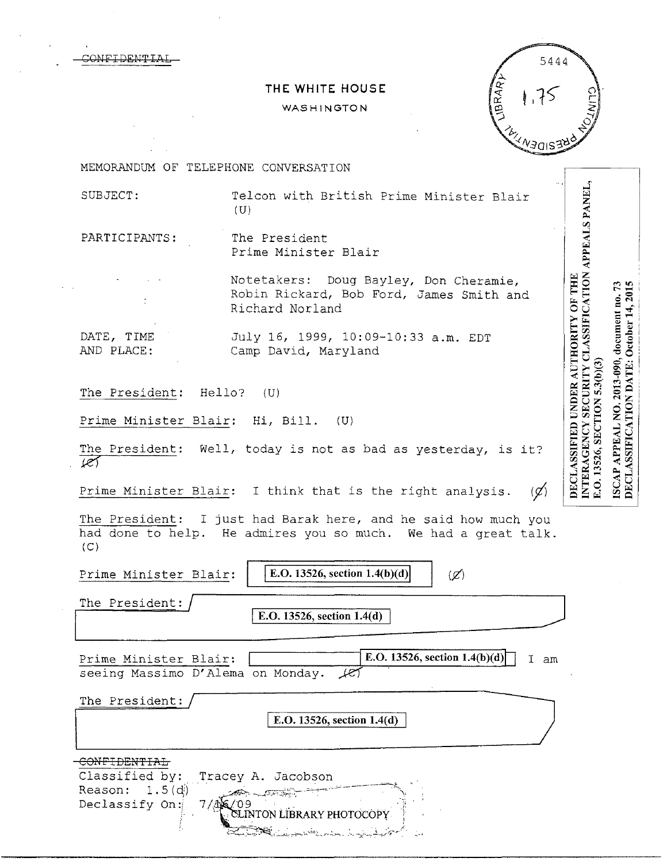CONFIDENTIA

## **THE WHITE HOUSE**

## WASHINGTON



MEMORANDUM OF TELEPHONE CONVERSATION

SUBJECT: Telcon with British Prime Minister Blair  $(U)$ 

PARTICIPANTS: The President Prime Minister Blair

Notetakers: Doug Bayley, Don Cheramie, Robin Rickard, Bob Ford, James Smith and Richard Norland

DATE, TIME July 16, 1999, 10:09-10:33 a.m. EDT AND PLACE: Camp David, Maryland

The President: Hello? (U)

Prime Minister Blair: Hi, Bill. (U)

The President: Well, today is not as bad as yesterday, is it?  $127$ 

Prime Minister Blair: I think that is the right analysis.  $\langle \mathcal{Q} \rangle$ 

The President: I just had Barak here, and he said how much you had done to help. He admires you so much. We had a great talk.  $(C)$ 

Prime Minister Blair:

**E.O. 13526, section 1.4(b)(d)**  $| (\mathcal{Z})$ 

E.O. 13526, section  $1.4(b)(d)$ 

The President:

E.O. 13526, section 1.4(d)

Prime Minister Blair: **E.O. 13526, section 1.4(b)(d)** I am seeing Massimo D'Alema on Monday. (e)

The President:

E.O. 13526, section 1.4(d)

ىك يېتىر بىلى بىرى بىل<sup>ىشى</sup>دىسىدىك

<del>\</del>

## CONFIDENTIAL

Classified by: Tracey A. Jacobson Reason:  $1.5(d)$ الكتحين Declassify On: LINTON LIBRARY PHOTOCOPY

ISCAP APPEAL NO. 2013-090, document no. 73 DECLASSIFICATION DATE: October 14, 2015 E.O. 13526, SECTION 5.3(b)(3)

DECLASSIFIED UNDER AUTHORITY OF THE NAMES PANEL, NETERAGENCY SECURITY CLASSIFICATION APPEALS PANEL,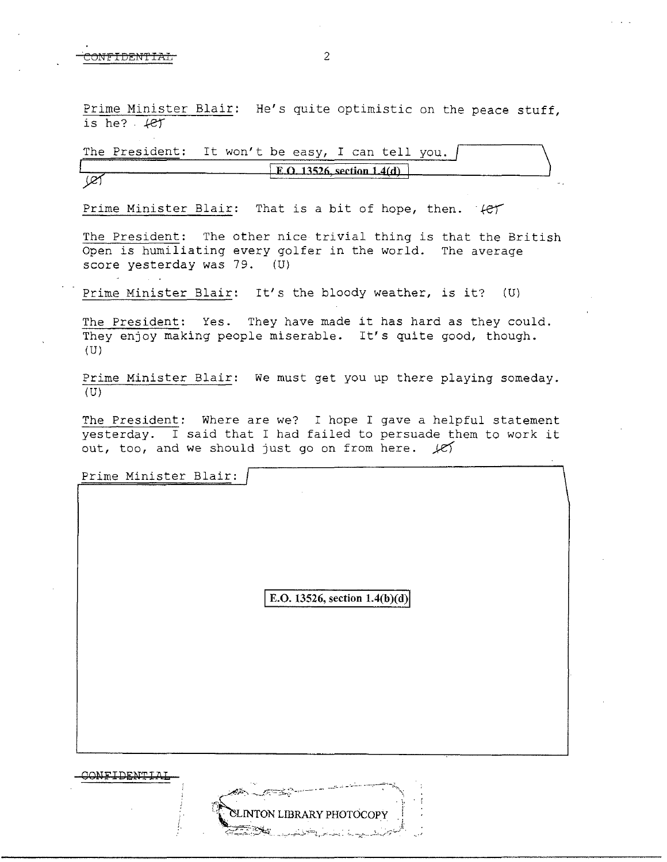$\overline{ONFTDENTIAL}$  2

Prime Minister Blair:

CONFIDENT IM

Prime Minister Blair: He's quite optimistic on the peace stuff, is he?  $.4e$ 

| The President: It won't be easy, I can tell you. |  |                            |  |  |  |  |
|--------------------------------------------------|--|----------------------------|--|--|--|--|
|                                                  |  | $ERO$ 13526 section 1.4(d) |  |  |  |  |

Prime Minister Blair: That is a bit of hope, then. (et

The President: The other nice trivial thing is that the British Open is humiliating every golfer in the world. The average score yesterday was 79. (U)

Prime Minister Blair: It's the bloody weather, is it? (U)

The President: Yes. They have made it has hard as they could. They enjoy making people miserable. It's quite good, though. (U)

Prime Minister Blair: We must get you up there playing someday.  $(U)$ 

The President: Where are we? I hope I gave a helpful statement yesterday. I said that I had failed to persuade them to work it out, too, and we should just go on from here.  $\mathcal{L}$ 

**E.O. 13526, section 1.4(b)(d)** 

**INTON LIBRARY PHOTOCOPY** 

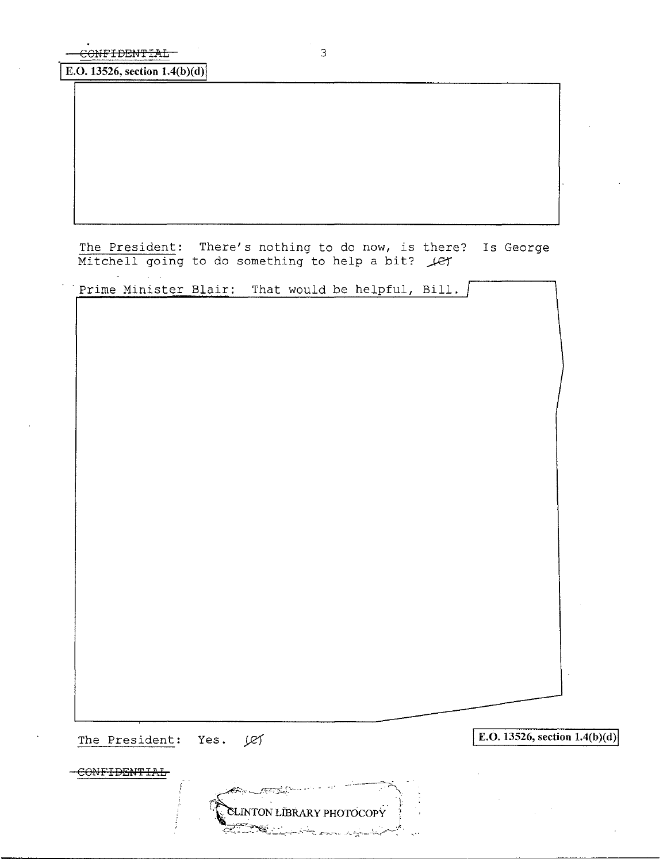$\sqrt{E.O. 13526, \text{section } 1.4(b)(d)}$ 

| The President: There's nothing to do now, is there?<br>Mitchell going to do something to help a bit? Jet |      |                                   |  |  | Is George                     |
|----------------------------------------------------------------------------------------------------------|------|-----------------------------------|--|--|-------------------------------|
| Prime Minister Blair: That would be helpful, Bill.                                                       |      |                                   |  |  |                               |
|                                                                                                          |      |                                   |  |  |                               |
|                                                                                                          |      |                                   |  |  |                               |
|                                                                                                          |      |                                   |  |  |                               |
|                                                                                                          |      |                                   |  |  |                               |
|                                                                                                          |      |                                   |  |  |                               |
|                                                                                                          |      |                                   |  |  |                               |
|                                                                                                          |      |                                   |  |  |                               |
|                                                                                                          |      |                                   |  |  |                               |
|                                                                                                          |      |                                   |  |  |                               |
|                                                                                                          |      |                                   |  |  |                               |
|                                                                                                          |      |                                   |  |  |                               |
| The President:                                                                                           | Yes. | أكثلكم                            |  |  | E.O. 13526, section 1.4(b)(d) |
| ONFIDENTIAL                                                                                              |      | CLINTON LIBRARY PHOTOCOPY<br>236. |  |  |                               |

<u> De Carrier de la provincia de la p</u>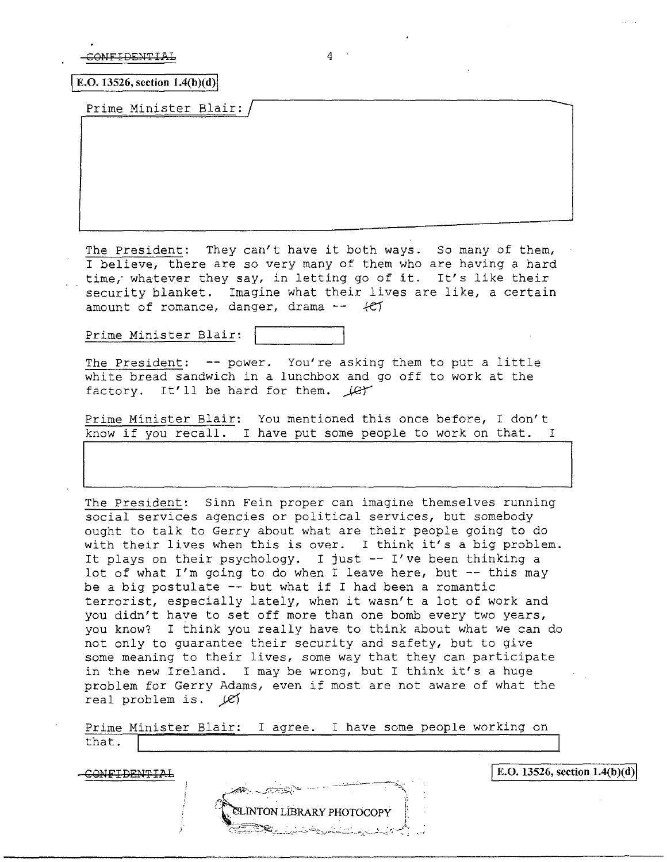$COMFIDENTTAL$  4

**E.O.** 13526, section  $1.4(b)(d)$ 

Prime Minister Blair:

The President: They can't have it both ways. So many of them, I believe, there are so very many of them who are having a hard time, whatever they say, in letting go of it. It's like their security blanket. Imagine what their lives are like, a certain amount of romance, danger, drama  $- +CT$ 

Prime Minister Blair:

The President: -- power. You're asking them to put a little white bread sandwich in a lunchbox and go off to work at the factory. It'll be hard for them.  $\text{Ler}$ 

Prime Minister Blair: You mentioned this once before, I don't know if you recall. I have put some people to work on that. I

The President: Sinn Fein proper can imagine themselves running social services agencies or political services, but somebody ought to talk to Gerry about what are their people going to do with their lives when this is over. I think it's a big problem. It plays on their psychology. I just -- I've been thinking a lot of what I'm going to do when I leave here, but  $-$ - this may be a big postulate  $--$  but what if I had been a romantic terrorist, especially lately, when it wasn't a lot of work and you didn't have to set off more than one bomb every two years, you know? I think you really have to think about what we can do not only to guarantee their security and safety, but to give some meaning to their lives, some way that they can participate in the new Ireland. I may be wrong, but I think it's a huge problem for Gerry Adams, even if most are not aware of what the real problem is.  $|C|$ 

|       | Prime Minister Blair: I agree. I have some people working on |  |  |  |  |  |
|-------|--------------------------------------------------------------|--|--|--|--|--|
| that. |                                                              |  |  |  |  |  |
|       |                                                              |  |  |  |  |  |

CONFIDENTIAL



**E.O. 13526, section 1.4(b)(d)**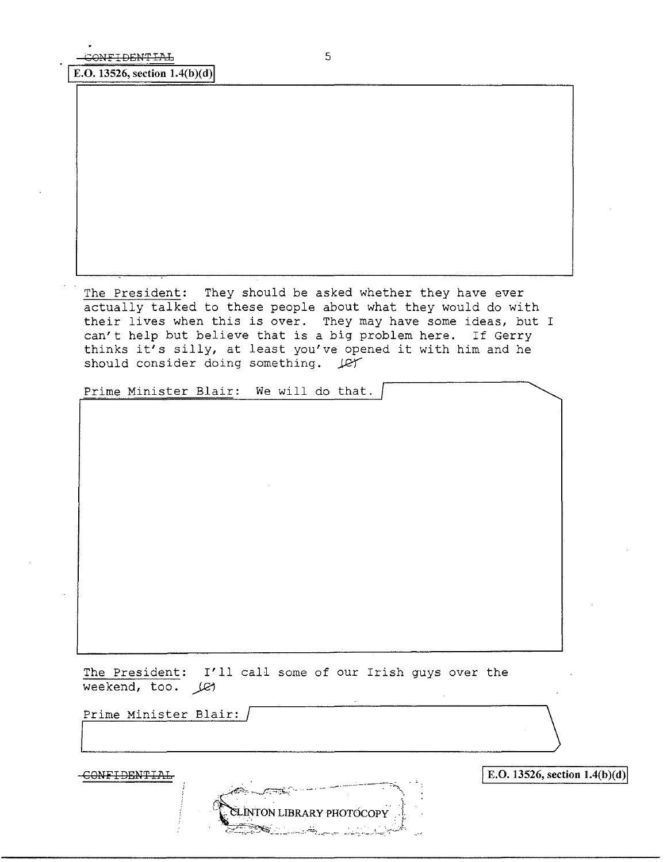E.O. 13526, section  $1.4(b)(d)$ 

The President: They should be asked whether they have ever actually talked to these people about what they would do with their lives when this is over. They may have some ideas, but I can't help but believe that is a big problem here. If Gerry thinks it's silly, at least you've opened it with him and he should consider doing something.  $\cancel{\downarrow}$ 

Prime Minister Blair: We will do that.

The President: I'll call some of our Irish guys over the weekend, too.  $\angle$ Q)

**INTON LIBRARY PHOTOCOPY** 

Prime Minister Blair: I

COHFIDENTIJ'.L I E.O. 13526, section l.4(b)(d)I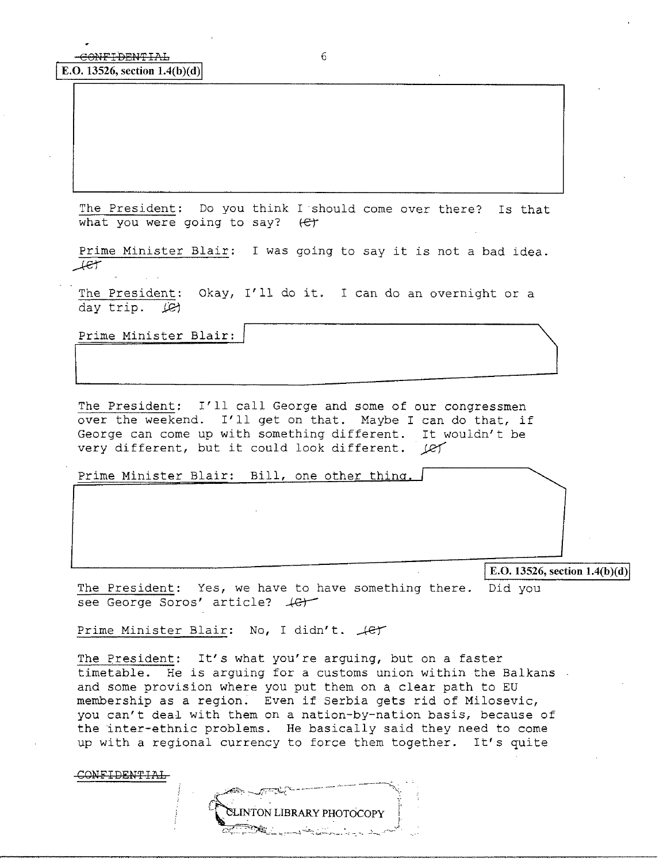The President: Do you think I should come over there? Is that what you were going to say? *ter* 

Prime Minister Blair: I was going to say it is not a bad idea.  $Let$ 

The President: Okay, I'll do it. I can do an overnight or a  $\frac{1}{\text{day trip.}}$   $\frac{1}{\text{Q}}$ 

Prime Minister Blair:

The President: I'll call George and some of our congressmen over the weekend. I'll get on that. Maybe I can do that, if George can come up with something different. It wouldn't be very different, but it could look different. *Vel* 

Prime Minister Blair: Bill, one other thing.

 $\vert$  **E.O.** 13526, section 1.4(b)(d)

The President: Yes, we have to have something there. Did you see George Soros' article?  $+e+$ 

Prime Minister Blair: No, I didn't.  $\mathcal{L}$ 

The President: It's what you're arguing, but on a faster timetable. He is arguing for a customs union within the Balkans and some provision where you put them on a clear path to EU membership as a region. Even if Serbia gets rid of Milosevic, you can't deal with them on a nation-by-nation basis, because of the inter-ethnic problems. He basically said they need to come up with a regional currency to force them together. It's quite

CONFIDENTIAL

CLINTON LIBRARY PHOTOCOPY